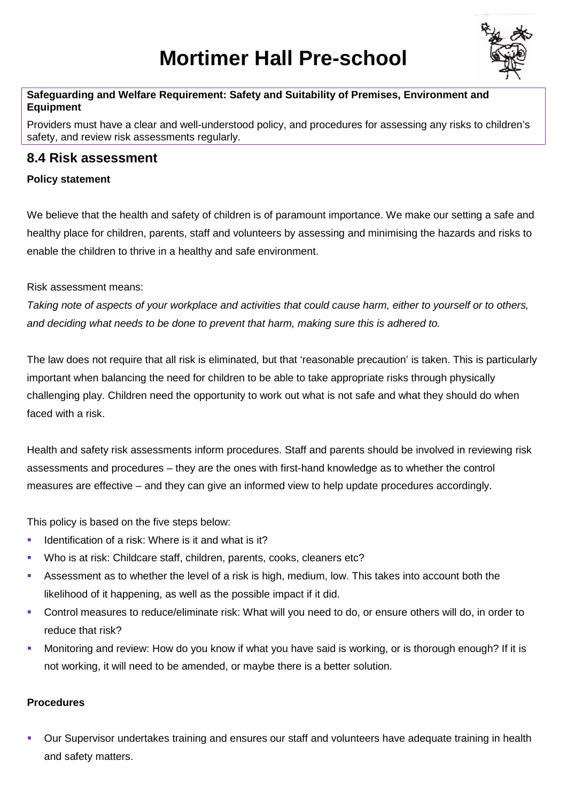# **Mortimer Hall Pre-school**



#### **Safeguarding and Welfare Requirement: Safety and Suitability of Premises, Environment and Equipment**

Providers must have a clear and well-understood policy, and procedures for assessing any risks to children's safety, and review risk assessments regularly.

### **8.4 Risk assessment**

#### **Policy statement**

We believe that the health and safety of children is of paramount importance. We make our setting a safe and healthy place for children, parents, staff and volunteers by assessing and minimising the hazards and risks to enable the children to thrive in a healthy and safe environment.

Risk assessment means:

*Taking note of aspects of your workplace and activities that could cause harm, either to yourself or to others, and deciding what needs to be done to prevent that harm, making sure this is adhered to.*

The law does not require that all risk is eliminated, but that 'reasonable precaution' is taken. This is particularly important when balancing the need for children to be able to take appropriate risks through physically challenging play. Children need the opportunity to work out what is not safe and what they should do when faced with a risk.

Health and safety risk assessments inform procedures. Staff and parents should be involved in reviewing risk assessments and procedures – they are the ones with first-hand knowledge as to whether the control measures are effective – and they can give an informed view to help update procedures accordingly.

This policy is based on the five steps below:

- Identification of a risk: Where is it and what is it?
- Who is at risk: Childcare staff, children, parents, cooks, cleaners etc?
- Assessment as to whether the level of a risk is high, medium, low. This takes into account both the likelihood of it happening, as well as the possible impact if it did.
- Control measures to reduce/eliminate risk: What will you need to do, or ensure others will do, in order to reduce that risk?
- **•** Monitoring and review: How do you know if what you have said is working, or is thorough enough? If it is not working, it will need to be amended, or maybe there is a better solution.

#### **Procedures**

 Our Supervisor undertakes training and ensures our staff and volunteers have adequate training in health and safety matters.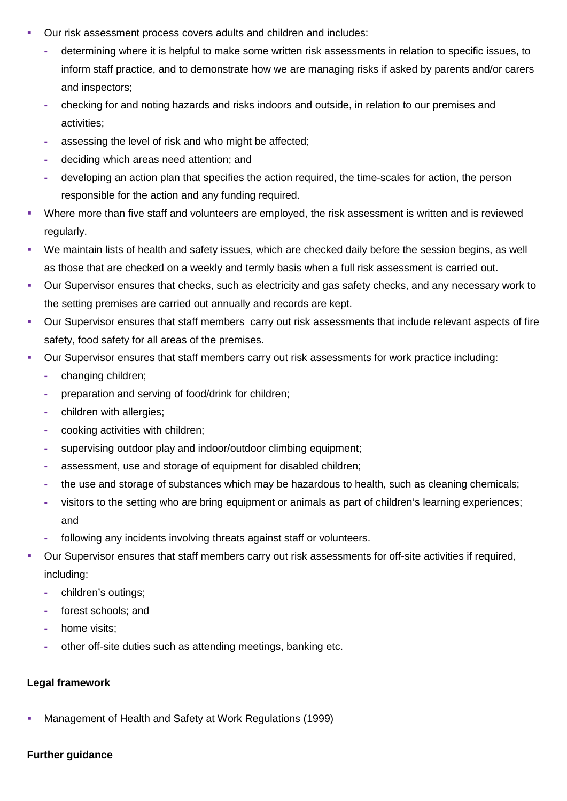- Our risk assessment process covers adults and children and includes:
	- **-** determining where it is helpful to make some written risk assessments in relation to specific issues, to inform staff practice, and to demonstrate how we are managing risks if asked by parents and/or carers and inspectors;
	- **-** checking for and noting hazards and risks indoors and outside, in relation to our premises and activities;
	- **-** assessing the level of risk and who might be affected;
	- **-** deciding which areas need attention; and
	- **-** developing an action plan that specifies the action required, the time-scales for action, the person responsible for the action and any funding required.
- Where more than five staff and volunteers are employed, the risk assessment is written and is reviewed regularly.
- We maintain lists of health and safety issues, which are checked daily before the session begins, as well as those that are checked on a weekly and termly basis when a full risk assessment is carried out.
- Our Supervisor ensures that checks, such as electricity and gas safety checks, and any necessary work to the setting premises are carried out annually and records are kept.
- Our Supervisor ensures that staff members carry out risk assessments that include relevant aspects of fire safety, food safety for all areas of the premises.
- Our Supervisor ensures that staff members carry out risk assessments for work practice including:
	- **-** changing children;
	- **-** preparation and serving of food/drink for children;
	- **-** children with allergies;
	- **-** cooking activities with children;
	- **-** supervising outdoor play and indoor/outdoor climbing equipment;
	- **-** assessment, use and storage of equipment for disabled children;
	- **-** the use and storage of substances which may be hazardous to health, such as cleaning chemicals;
	- **-** visitors to the setting who are bring equipment or animals as part of children's learning experiences; and
	- **-** following any incidents involving threats against staff or volunteers.
- Our Supervisor ensures that staff members carry out risk assessments for off-site activities if required, including:
	- **-** children's outings;
	- **-** forest schools; and
	- **-** home visits;
	- **-** other off-site duties such as attending meetings, banking etc.

#### **Legal framework**

Management of Health and Safety at Work Regulations (1999)

#### **Further guidance**